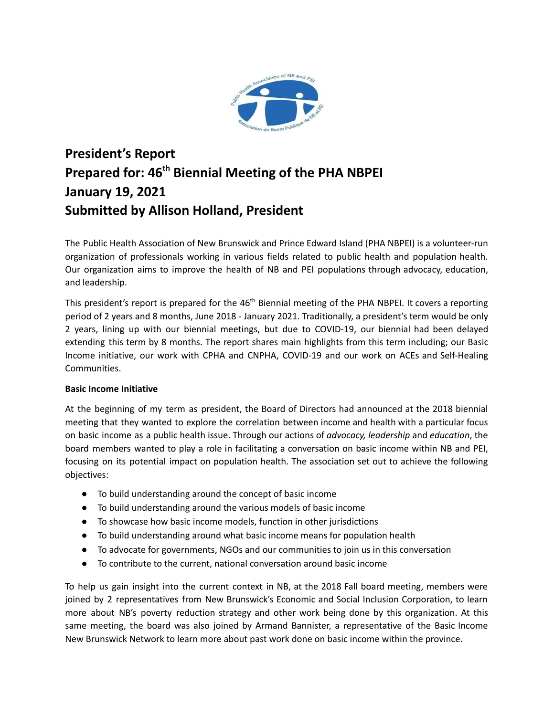

# **President's Report Prepared for: 46 th Biennial Meeting of the PHA NBPEI January 19, 2021 Submitted by Allison Holland, President**

The Public Health Association of New Brunswick and Prince Edward Island (PHA NBPEI) is a volunteer-run organization of professionals working in various fields related to public health and population health. Our organization aims to improve the health of NB and PEI populations through advocacy, education, and leadership.

This president's report is prepared for the 46<sup>th</sup> Biennial meeting of the PHA NBPEI. It covers a reporting period of 2 years and 8 months, June 2018 - January 2021. Traditionally, a president's term would be only 2 years, lining up with our biennial meetings, but due to COVID-19, our biennial had been delayed extending this term by 8 months. The report shares main highlights from this term including; our Basic Income initiative, our work with CPHA and CNPHA, COVID-19 and our work on ACEs and Self-Healing Communities.

# **Basic Income Initiative**

At the beginning of my term as president, the Board of Directors had announced at the 2018 biennial meeting that they wanted to explore the correlation between income and health with a particular focus on basic income as a public health issue. Through our actions of *advocacy, leadership* and *education*, the board members wanted to play a role in facilitating a conversation on basic income within NB and PEI, focusing on its potential impact on population health. The association set out to achieve the following objectives:

- To build understanding around the concept of basic income
- To build understanding around the various models of basic income
- To showcase how basic income models, function in other jurisdictions
- To build understanding around what basic income means for population health
- To advocate for governments, NGOs and our communities to join us in this conversation
- To contribute to the current, national conversation around basic income

To help us gain insight into the current context in NB, at the 2018 Fall board meeting, members were joined by 2 representatives from New Brunswick's Economic and Social Inclusion Corporation, to learn more about NB's poverty reduction strategy and other work being done by this organization. At this same meeting, the board was also joined by Armand Bannister, a representative of the Basic Income New Brunswick Network to learn more about past work done on basic income within the province.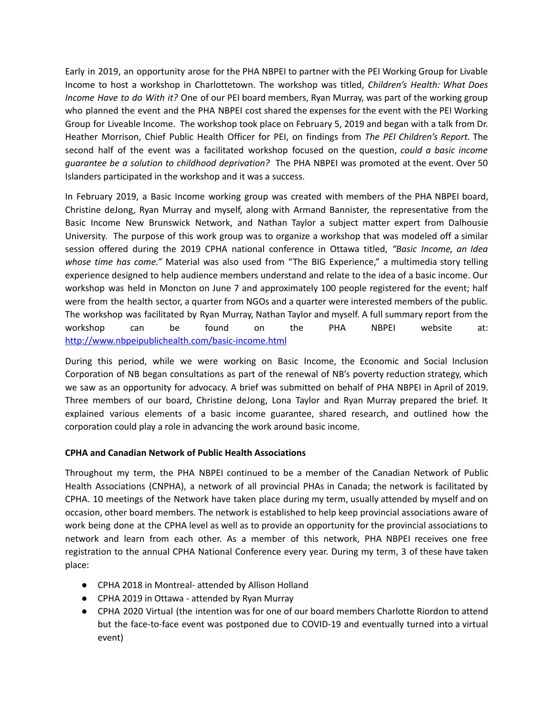Early in 2019, an opportunity arose for the PHA NBPEI to partner with the PEI Working Group for Livable Income to host a workshop in Charlottetown. The workshop was titled, *Children's Health: What Does Income Have to do With it?* One of our PEI board members, Ryan Murray, was part of the working group who planned the event and the PHA NBPEI cost shared the expenses for the event with the PEI Working Group for Liveable Income. The workshop took place on February 5, 2019 and began with a talk from Dr. Heather Morrison, Chief Public Health Officer for PEI, on findings from *The PEI Children's Report.* The second half of the event was a facilitated workshop focused on the question, *could a basic income guarantee be a solution to childhood deprivation?* The PHA NBPEI was promoted at the event. Over 50 Islanders participated in the workshop and it was a success.

In February 2019, a Basic Income working group was created with members of the PHA NBPEI board, Christine deJong, Ryan Murray and myself, along with Armand Bannister, the representative from the Basic Income New Brunswick Network, and Nathan Taylor a subject matter expert from Dalhousie University. The purpose of this work group was to organize a workshop that was modeled off a similar session offered during the 2019 CPHA national conference in Ottawa titled, *"Basic Income, an Idea whose time has come."* Material was also used from "The BIG Experience," a multimedia story telling experience designed to help audience members understand and relate to the idea of a basic income. Our workshop was held in Moncton on June 7 and approximately 100 people registered for the event; half were from the health sector, a quarter from NGOs and a quarter were interested members of the public. The workshop was facilitated by Ryan Murray, Nathan Taylor and myself. A full summary report from the workshop can be found on the PHA NBPEI website at: <http://www.nbpeipublichealth.com/basic-income.html>

During this period, while we were working on Basic Income, the Economic and Social Inclusion Corporation of NB began consultations as part of the renewal of NB's poverty reduction strategy, which we saw as an opportunity for advocacy. A brief was submitted on behalf of PHA NBPEI in April of 2019. Three members of our board, Christine deJong, Lona Taylor and Ryan Murray prepared the brief. It explained various elements of a basic income guarantee, shared research, and outlined how the corporation could play a role in advancing the work around basic income.

# **CPHA and Canadian Network of Public Health Associations**

Throughout my term, the PHA NBPEI continued to be a member of the Canadian Network of Public Health Associations (CNPHA), a network of all provincial PHAs in Canada; the network is facilitated by CPHA. 10 meetings of the Network have taken place during my term, usually attended by myself and on occasion, other board members. The network is established to help keep provincial associations aware of work being done at the CPHA level as well as to provide an opportunity for the provincial associations to network and learn from each other. As a member of this network, PHA NBPEI receives one free registration to the annual CPHA National Conference every year. During my term, 3 of these have taken place:

- **●** CPHA 2018 in Montreal- attended by Allison Holland
- CPHA 2019 in Ottawa attended by Ryan Murray
- **●** CPHA 2020 Virtual (the intention was for one of our board members Charlotte Riordon to attend but the face-to-face event was postponed due to COVID-19 and eventually turned into a virtual event)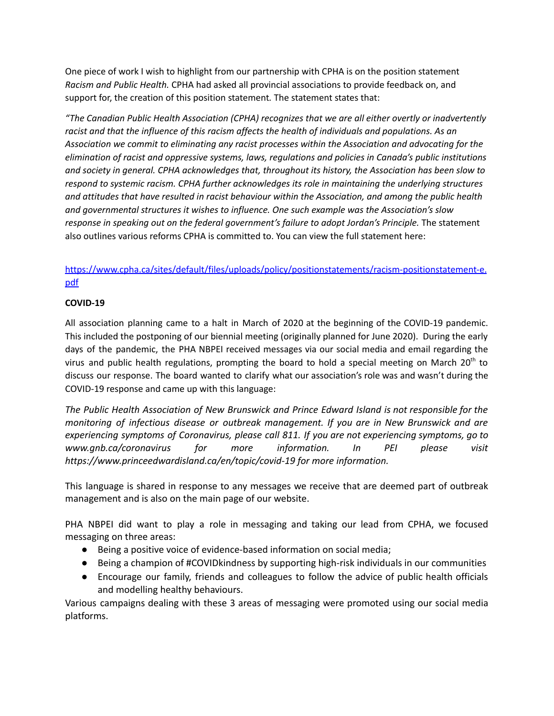One piece of work I wish to highlight from our partnership with CPHA is on the position statement *Racism and Public Health.* CPHA had asked all provincial associations to provide feedback on, and support for, the creation of this position statement*.* The statement states that:

*"The Canadian Public Health Association (CPHA) recognizes that we are all either overtly or inadvertently racist and that the influence of this racism affects the health of individuals and populations. As an Association we commit to eliminating any racist processes within the Association and advocating for the elimination of racist and oppressive systems, laws, regulations and policies in Canada's public institutions and society in general. CPHA acknowledges that, throughout its history, the Association has been slow to respond to systemic racism. CPHA further acknowledges its role in maintaining the underlying structures and attitudes that have resulted in racist behaviour within the Association, and among the public health and governmental structures it wishes to influence. One such example was the Association's slow response in speaking out on the federal government's failure to adopt Jordan's Principle.* The statement also outlines various reforms CPHA is committed to. You can view the full statement here:

# [https://www.cpha.ca/sites/default/files/uploads/policy/positionstatements/racism-positionstatement-e.](https://www.cpha.ca/sites/default/files/uploads/policy/positionstatements/racism-positionstatement-e.pdf) [pdf](https://www.cpha.ca/sites/default/files/uploads/policy/positionstatements/racism-positionstatement-e.pdf)

# **COVID-19**

All association planning came to a halt in March of 2020 at the beginning of the COVID-19 pandemic. This included the postponing of our biennial meeting (originally planned for June 2020). During the early days of the pandemic, the PHA NBPEI received messages via our social media and email regarding the virus and public health regulations, prompting the board to hold a special meeting on March 20<sup>th</sup> to discuss our response. The board wanted to clarify what our association's role was and wasn't during the COVID-19 response and came up with this language:

*The Public Health Association of New Brunswick and Prince Edward Island is not responsible for the monitoring of infectious disease or outbreak management. If you are in New Brunswick and are experiencing symptoms of Coronavirus, please call 811. If you are not experiencing symptoms, go to www.gnb.ca/coronavirus for more information. In PEI please visit https://www.princeedwardisland.ca/en/topic/covid-19 for more information.*

This language is shared in response to any messages we receive that are deemed part of outbreak management and is also on the main page of our website.

PHA NBPEI did want to play a role in messaging and taking our lead from CPHA, we focused messaging on three areas:

- Being a positive voice of evidence-based information on social media;
- Being a champion of #COVID kindness by supporting high-risk individuals in our communities
- Encourage our family, friends and colleagues to follow the advice of public health officials and modelling healthy behaviours.

Various campaigns dealing with these 3 areas of messaging were promoted using our social media platforms.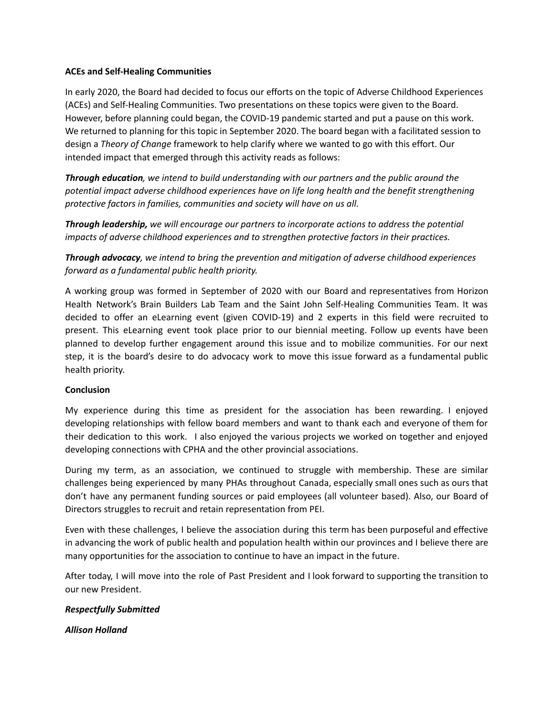#### **ACEs and Self-Healing Communities**

In early 2020, the Board had decided to focus our efforts on the topic of Adverse Childhood Experiences (ACEs) and Self-Healing Communities. Two presentations on these topics were given to the Board. However, before planning could began, the COVID-19 pandemic started and put a pause on this work. We returned to planning for this topic in September 2020. The board began with a facilitated session to design a *Theory of Change* framework to help clarify where we wanted to go with this effort. Our intended impact that emerged through this activity reads as follows:

*Through education, we intend to build understanding with our partners and the public around the potential impact adverse childhood experiences have on life long health and the benefit strengthening protective factors in families, communities and society will have on us all.*

*Through leadership, we will encourage our partners to incorporate actions to address the potential impacts of adverse childhood experiences and to strengthen protective factors in their practices.*

*Through advocacy, we intend to bring the prevention and mitigation of adverse childhood experiences forward as a fundamental public health priority.*

A working group was formed in September of 2020 with our Board and representatives from Horizon Health Network's Brain Builders Lab Team and the Saint John Self-Healing Communities Team. It was decided to offer an eLearning event (given COVID-19) and 2 experts in this field were recruited to present. This eLearning event took place prior to our biennial meeting. Follow up events have been planned to develop further engagement around this issue and to mobilize communities. For our next step, it is the board's desire to do advocacy work to move this issue forward as a fundamental public health priority.

# **Conclusion**

My experience during this time as president for the association has been rewarding. I enjoyed developing relationships with fellow board members and want to thank each and everyone of them for their dedication to this work. I also enjoyed the various projects we worked on together and enjoyed developing connections with CPHA and the other provincial associations.

During my term, as an association, we continued to struggle with membership. These are similar challenges being experienced by many PHAs throughout Canada, especially small ones such as ours that don't have any permanent funding sources or paid employees (all volunteer based). Also, our Board of Directors struggles to recruit and retain representation from PEI.

Even with these challenges, I believe the association during this term has been purposeful and effective in advancing the work of public health and population health within our provinces and I believe there are many opportunities for the association to continue to have an impact in the future.

After today, I will move into the role of Past President and I look forward to supporting the transition to our new President.

# *Respectfully Submitted*

*Allison Holland*